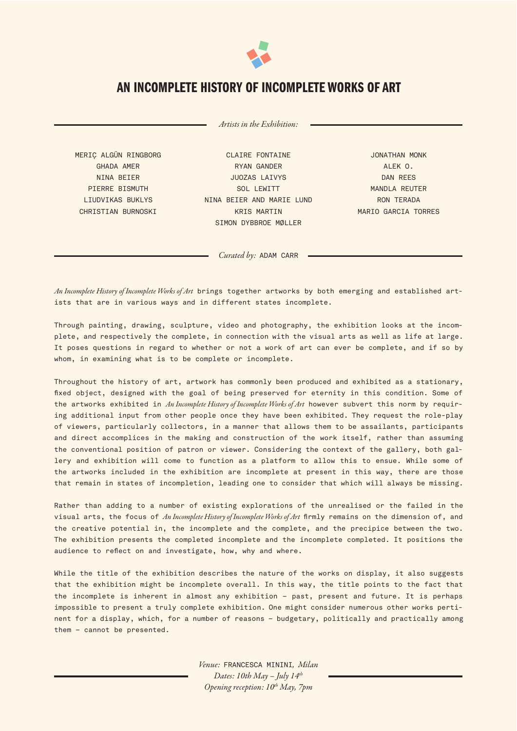

## AN INCOMPLETE HISTORY OF INCOMPLETE WORKS OF ART

Artists in the Exhibition:

MERIÇ ALGÜN RINGBORG GHADA AMER NINA BEIER PIERRE BISMUTH LIUDVIKAS BUKLYS CHRISTIAN BURNOSKI

CLAIRE FONTAINE RYAN GANDER JUOZAS LAIVYS SOL LEWITT NINA BEIER AND MARIE LUND KRIS MARTIN SIMON DYBBROE MØLLER

JONATHAN MONK ALEK O. DAN REES MANDLA REUTER RON TERADA MARIO GARCIA TORRES

Curated by: ADAM CARR

An Incomplete History of Incomplete Works of Art brings together artworks by both emerging and established artists that are in various ways and in different states incomplete.

Through painting, drawing, sculpture, video and photography, the exhibition looks at the incomplete, and respectively the complete, in connection with the visual arts as well as life at large. It poses questions in regard to whether or not a work of art can ever be complete, and if so by whom, in examining what is to be complete or incomplete.

Throughout the history of art, artwork has commonly been produced and exhibited as a stationary, fixed object, designed with the goal of being preserved for eternity in this condition. Some of the artworks exhibited in An Incomplete History of Incomplete Works of Art however subvert this norm by requiring additional input from other people once they have been exhibited. They request the role-play of viewers, particularly collectors, in a manner that allows them to be assailants, participants and direct accomplices in the making and construction of the work itself, rather than assuming the conventional position of patron or viewer. Considering the context of the gallery, both gallery and exhibition will come to function as a platform to allow this to ensue. While some of the artworks included in the exhibition are incomplete at present in this way, there are those that remain in states of incompletion, leading one to consider that which will always be missing.

Rather than adding to a number of existing explorations of the unrealised or the failed in the visual arts, the focus of An Incomplete History of Incomplete Works of Art firmly remains on the dimension of, and the creative potential in, the incomplete and the complete, and the precipice between the two. The exhibition presents the completed incomplete and the incomplete completed. It positions the audience to reflect on and investigate, how, why and where.

While the title of the exhibition describes the nature of the works on display, it also suggests that the exhibition might be incomplete overall. In this way, the title points to the fact that the incomplete is inherent in almost any exhibition – past, present and future. It is perhaps impossible to present a truly complete exhibition. One might consider numerous other works pertinent for a display, which, for a number of reasons – budgetary, politically and practically among them – cannot be presented.

> Venue: FRANCESCA MININI, Milan Dates: 10th May  $-$  July 14<sup>th</sup> Opening reception:  $10^{th}$  May, 7pm